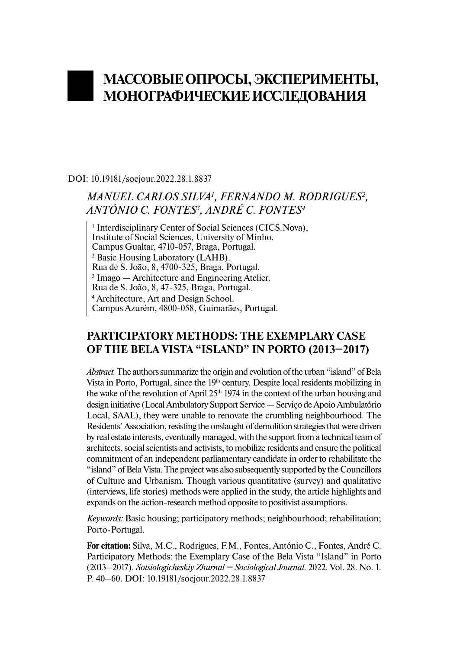# **МАССОВЫЕ ОПРОСЫ, ЭКСПЕРИМЕНТЫ, МОНОГРАФИЧЕСКИЕ ИССЛЕДОВАНИЯ**

DOI: 10.19181/socjour.2022.28.1.8837

# *MANUEL CARLOS SILVA1 , FERNANDO M. RODRIGUES2 , ANTÓNIO C. FONTES3 , ANDRÉ C. FONTES4*

<sup>1</sup> Interdisciplinary Center of Social Sciences (CICS.Nova), Institute of Social Sciences, University of Minho. Campus Gualtar, 4710-057, Braga, Portugal. <sup>2</sup> Basic Housing Laboratory (LAHB). Rua de S. João, 8, 4700-325, Braga, Portugal. 3 Imago — Architecture and Engineering Atelier. Rua de S. João, 8, 47-325, Braga, Portugal. 4 Architecture, Art and Design School. Campus Azurém, 4800-058, Guimarães, Portugal.

## **PARTICIPATORY METHODS: THE EXEMPLARY CASE OF THE BELA VISTA "ISLAND" IN PORTO (2013–2017)**

*Abstract.*The authors summarize the origin and evolution of the urban "island" of Bela Vista in Porto, Portugal, since the  $19<sup>th</sup>$  century. Despite local residents mobilizing in the wake of the revolution of April  $25<sup>th</sup> 1974$  in the context of the urban housing and design initiative (Local Ambulatory Support Service — Serviço de Apoio Ambulatório Local, SAAL), they were unable to renovate the crumbling neighbourhood. The Residents' Association, resisting the onslaught of demolition strategies that were driven by real estate interests, eventually managed, with the support from a technical team of architects, social scientists and activists, to mobilize residents and ensure the political commitment of an independent parliamentary candidate in order to rehabilitate the "island" of Bela Vista. The project was also subsequently supported by the Councillors of Culture and Urbanism. Though various quantitative (survey) and qualitative (interviews, life stories) methods were applied in the study, the article highlights and expands on the action-research method opposite to positivist assumptions.

*Keywords:* Basic housing; participatory methods; neighbourhood; rehabilitation; Porto-Portugal.

**For citation:** Silva, M.C., Rodrigues, F.M., Fontes, António C., Fontes, André C. Participatory Methods: the Exemplary Case of the Bela Vista "Island" in Porto (2013–2017). *Sotsiologicheskiy Zhurnal = Sociological Journal.* 2022. Vol. 28. No. 1. P. 40–60. DOI: 10.19181/socjour.2022.28.1.8837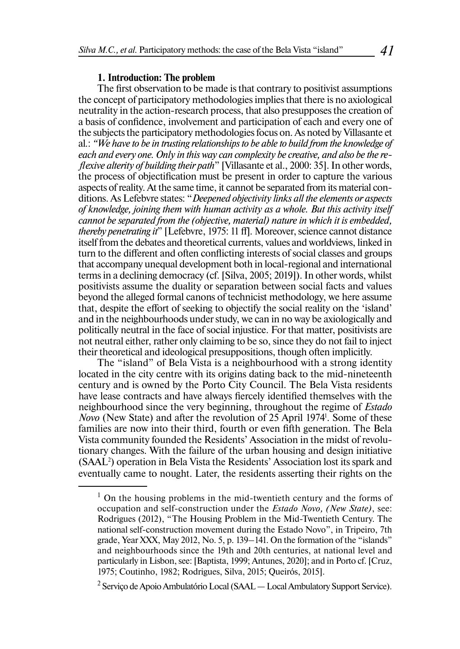#### **1. Introduction: The problem**

The first observation to be made is that contrary to positivist assumptions the concept of participatory methodologies implies that there is no axiological neutrality in the action-research process, that also presupposes the creation of a basis of confidence, involvement and participation of each and every one of the subjects the participatory methodologies focus on. As noted by Villasante et al*.*: *"We have to be in trusting relationships to be able to build from the knowledge of each and every one. Only in this way can complexity be creative, and also be the reflexive alterity of building their path*" [Villasante et al., 2000: 35]. In other words, the process of objectification must be present in order to capture the various aspects of reality. At the same time, it cannot be separated from its material conditions. As Lefebvre states: "*Deepened objectivity links all the elements or aspects of knowledge, joining them with human activity as a whole. But this activity itself cannot be separated from the (objective, material) nature in which it is embedded, thereby penetrating it*" [Lefebvre, 1975: 11 ff]*.* Moreover, science cannot distance itself from the debates and theoretical currents, values and worldviews, linked in turn to the different and often conflicting interests of social classes and groups that accompany unequal development both in local-regional and international terms in a declining democracy (cf. [Silva, 2005; 2019]). In other words, whilst positivists assume the duality or separation between social facts and values beyond the alleged formal canons of technicist methodology, we here assume that, despite the effort of seeking to objectify the social reality on the 'island' and in the neighbourhoods under study, we can in no way be axiologically and politically neutral in the face of social injustice. For that matter, positivists are not neutral either, rather only claiming to be so, since they do not fail to inject their theoretical and ideological presuppositions, though often implicitly.

The "island" of Bela Vista is a neighbourhood with a strong identity located in the city centre with its origins dating back to the mid-nineteenth century and is owned by the Porto City Council. The Bela Vista residents have lease contracts and have always fiercely identified themselves with the neighbourhood since the very beginning, throughout the regime of *Estado Novo* (New State) and after the revolution of 25 April 1974<sup>1</sup>. Some of these families are now into their third, fourth or even fifth generation. The Bela Vista community founded the Residents' Association in the midst of revolutionary changes. With the failure of the urban housing and design initiative (SAAL2 ) operation in Bela Vista the Residents' Association lost its spark and eventually сame to nought. Later, the residents asserting their rights on the

<sup>&</sup>lt;sup>1</sup> On the housing problems in the mid-twentieth century and the forms of occupation and self-construction under the *Estado Novo, (New State)*, see: Rodrigues (2012), "The Housing Problem in the Mid-Twentieth Century. The national self-construction movement during the Estado Novo", in Tripeiro, 7th grade, Year XXX, May 2012, No. 5, p. 139–141. On the formation of the "islands" and neighbourhoods since the 19th and 20th centuries, at national level and particularly in Lisbon, see: [Baptista, 1999; Antunes, 2020]; and in Porto cf. [Cruz, 1975; Coutinho, 1982; Rodrigues, Silva, 2015; Queirós, 2015].

 $^2$  Serviço de Apoio Ambulatório Local (SAAL — Local Ambulatory Support Service).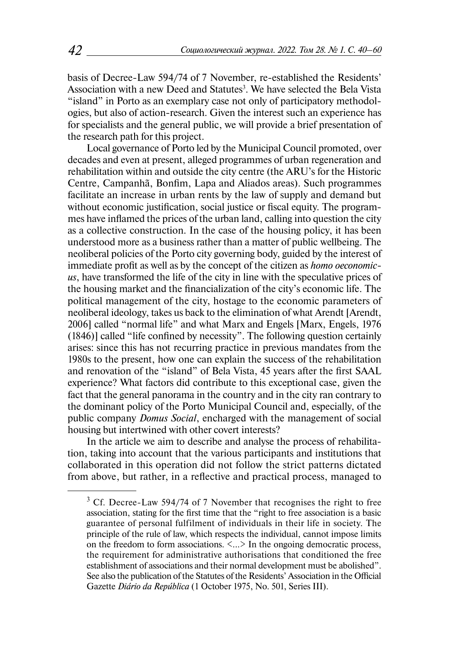basis of Decree-Law 594/74 of 7 November, re-established the Residents' Association with a new Deed and Statutes<sup>3</sup>. We have selected the Bela Vista "island" in Porto as an exemplary case not only of participatory methodologies, but also of action-research. Given the interest such an experience has for specialists and the general public, we will provide a brief presentation of the research path for this project.

Local governance of Porto led by the Municipal Council promoted, over decades and even at present, alleged programmes of urban regeneration and rehabilitation within and outside the city centre (the ARU's for the Historic Centre, Campanhã, Bonfim, Lapa and Aliados areas). Such programmes facilitate an increase in urban rents by the law of supply and demand but without economic justification, social justice or fiscal equity. The programmes have inflamed the prices of the urban land, calling into question the city as a collective construction. In the case of the housing policy, it has been understood more as a business rather than a matter of public wellbeing. The neoliberal policies of the Porto city governing body, guided by the interest of immediate profit as well as by the concept of the citizen as *homo oeconomicus*, have transformed the life of the city in line with the speculative prices of the housing market and the financialization of the city's economic life. The political management of the city, hostage to the economic parameters of neoliberal ideology, takes us back to the elimination of what Arendt [Arendt, 2006] called "normal life" and what Marx and Engels [Marx, Engels, 1976 (1846)] called "life confined by necessity". The following question certainly arises: since this has not recurring practice in previous mandates from the 1980s to the present, how one can explain the success of the rehabilitation and renovation of the "island" of Bela Vista, 45 years after the first SAAL experience? What factors did contribute to this exceptional case, given the fact that the general panorama in the country and in the city ran contrary to the dominant policy of the Porto Municipal Council and, especially, of the public company *Domus Social*, encharged with the management of social housing but intertwined with other covert interests?

In the article we aim to describe and analyse the process of rehabilitation, taking into account that the various participants and institutions that collaborated in this operation did not follow the strict patterns dictated from above, but rather, in a reflective and practical process, managed to

 $3$  Cf. Decree-Law 594/74 of 7 November that recognises the right to free association, stating for the first time that the "right to free association is a basic guarantee of personal fulfilment of individuals in their life in society. The principle of the rule of law, which respects the individual, cannot impose limits on the freedom to form associations.  $\langle ... \rangle$  In the ongoing democratic process, the requirement for administrative authorisations that conditioned the free establishment of associations and their normal development must be abolished". See also the publication of the Statutes of the Residents' Association in the Official Gazette *Diário da República* (1 October 1975, No. 501, Series III).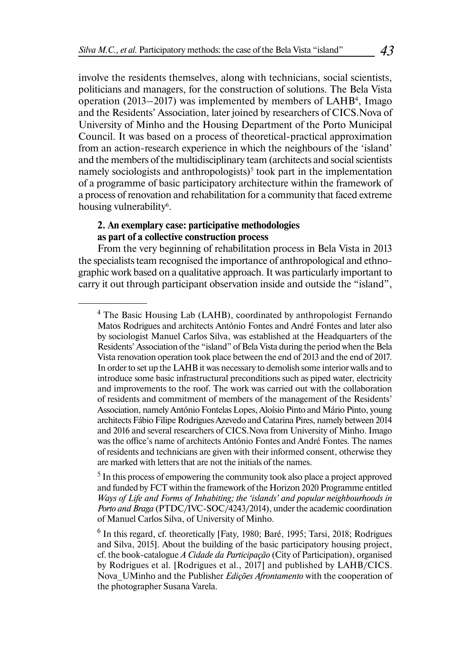involve the residents themselves, along with technicians, social scientists, politicians and managers, for the construction of solutions. The Bela Vista operation  $(2013-2017)$  was implemented by members of  $LAHB<sup>4</sup>$ , Imago and the Residents' Association, later joined by researchers of CICS.Nova of University of Minho and the Housing Department of the Porto Municipal Council. It was based on a process of theoretical-practical approximation from an action-research experience in which the neighbours of the 'island' and the members of the multidisciplinary team (architects and social scientists namely sociologists and anthropologists)<sup>5</sup> took part in the implementation of a programme of basic participatory architecture within the framework of a process of renovation and rehabilitation for a community that faced extreme housing vulnerability<sup>6</sup>.

#### **2. An exemplary case: participative methodologies as part of a collective construction process**

From the very beginning of rehabilitation process in Bela Vista in 2013 the specialists team recognised the importance of anthropological and ethnographic work based on a qualitative approach. It was particularly important to carry it out through participant observation inside and outside the "island",

<sup>&</sup>lt;sup>4</sup> The Basic Housing Lab (LAHB), coordinated by anthropologist Fernando Matos Rodrigues and architects António Fontes and André Fontes and later also by sociologist Manuel Carlos Silva, was established at the Headquarters of the Residents' Association of the "island" of Bela Vista during the period when the Bela Vista renovation operation took place between the end of 2013 and the end of 2017. In order to set up the LAHB it was necessary to demolish some interior walls and to introduce some basic infrastructural preconditions such as piped water, electricity and improvements to the roof. The work was carried out with the collaboration of residents and commitment of members of the management of the Residents' Association, namely António Fontelas Lopes, Aloísio Pinto and Mário Pinto, young architects Fábio Filipe Rodrigues Azevedo and Catarina Pires, namely between 2014 and 2016 and several researchers of CICS.Nova from University of Minho. Imago was the office's name of architects António Fontes and André Fontes. The names of residents and technicians are given with their informed consent, otherwise they are marked with letters that are not the initials of the names.

<sup>&</sup>lt;sup>5</sup> In this process of empowering the community took also place a project approved and funded by FCT within the framework of the Horizon 2020 Programme entitled *Ways of Life and Forms of Inhabiting; the 'islands' and popular neighbourhoods in Porto and Braga* (PTDC/IVC-SOC/4243/2014), under the academic coordination of Manuel Carlos Silva, of University of Minho.

<sup>&</sup>lt;sup>6</sup> In this regard, cf. theoretically [Faty, 1980; Baré, 1995; Tarsi, 2018; Rodrigues and Silva, 2015]. About the building of the basic participatory housing project, cf. the book-catalogue *A Cidade da Participação* (City of Participation), organised by Rodrigues et al. [Rodrigues et al., 2017] and published by LAHB/CICS. Nova\_UMinho and the Publisher *Edições Afrontamento* with the cooperation of the photographer Susana Varela.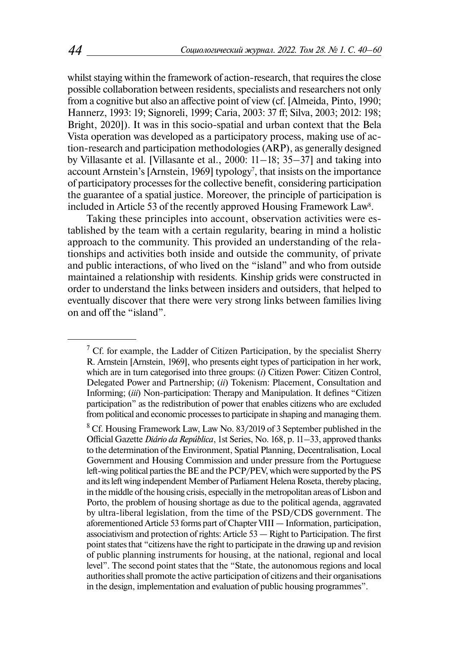whilst staying within the framework of action-research, that requires the close possible collaboration between residents, specialists and researchers not only from a cognitive but also an affective point of view (cf. [Almeida, Pinto, 1990; Hannerz, 1993: 19; Signoreli, 1999; Caria, 2003: 37 ff; Silva, 2003; 2012: 198; Bright, 2020]). It was in this socio-spatial and urban context that the Bela Vista operation was developed as a participatory process, making use of action-research and participation methodologies (ARP), as generally designed by Villasante et al. [Villasante et al., 2000: 11–18; 35–37] and taking into account Arnstein's [Arnstein, 1969] typology<sup>7</sup>, that insists on the importance of participatory processes for the collective benefit, considering participation the guarantee of a spatial justice. Moreover, the principle of participation is included in Article 53 of the recently approved Housing Framework Law $^{\rm 8}.$ 

Taking these principles into account, observation activities were established by the team with a certain regularity, bearing in mind a holistic approach to the community. This provided an understanding of the relationships and activities both inside and outside the community, of private and public interactions, of who lived on the "island" and who from outside maintained a relationship with residents. Kinship grids were constructed in order to understand the links between insiders and outsiders, that helped to eventually discover that there were very strong links between families living on and off the "island".

<sup>&</sup>lt;sup>7</sup> Cf. for example, the Ladder of Citizen Participation, by the specialist Sherry R. Arnstein [Arnstein, 1969], who presents eight types of participation in her work, which are in turn categorised into three groups: (*i*) Citizen Power: Citizen Control, Delegated Power and Partnership; (*ii*) Tokenism: Placement, Consultation and Informing; (*iii*) Non-participation: Therapy and Manipulation. It defines "Citizen participation" as the redistribution of power that enables citizens who are excluded from political and economic processes to participate in shaping and managing them.

<sup>&</sup>lt;sup>8</sup> Cf. Housing Framework Law, Law No. 83/2019 of 3 September published in the Official Gazette *Diário da República*, 1st Series, No. 168, p. 11–33, approved thanks to the determination of the Environment, Spatial Planning, Decentralisation, Local Government and Housing Commission and under pressure from the Portuguese left-wing political parties the BE and the PCP/PEV, which were supported by the PS and its left wing independent Member of Parliament Helena Roseta, thereby placing, in the middle of the housing crisis, especially in the metropolitan areas of Lisbon and Porto, the problem of housing shortage as due to the political agenda, aggravated by ultra-liberal legislation, from the time of the PSD/CDS government. The aforementioned Article 53 forms part of Chapter VIII — Information, participation, associativism and protection of rights: Article 53 — Right to Participation. The first point states that "citizens have the right to participate in the drawing up and revision of public planning instruments for housing, at the national, regional and local level". The second point states that the "State, the autonomous regions and local authorities shall promote the active participation of citizens and their organisations in the design, implementation and evaluation of public housing programmes".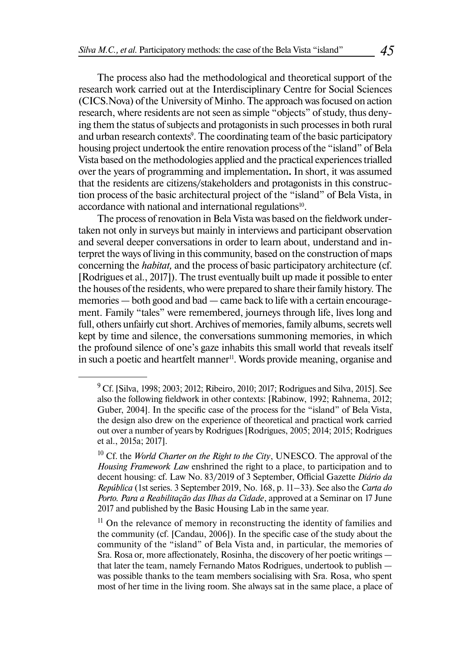The process also had the methodological and theoretical support of the research work carried out at the Interdisciplinary Centre for Social Sciences (CICS.Nova) of the University of Minho. The approach was focused on action research, where residents are not seen as simple "objects" of study, thus denying them the status of subjects and protagonists in such processes in both rural and urban research contexts<sup>9</sup>. The coordinating team of the basic participatory housing project undertook the entire renovation process of the "island" of Bela Vista based on the methodologies applied and the practical experiences trialled over the years of programming and implementation**.** In short, it was assumed that the residents are citizens/stakeholders and protagonists in this construction process of the basic architectural project of the "island" of Bela Vista, in accordance with national and international regulations<sup>10</sup>.

The process of renovation in Bela Vista was based on the fieldwork undertaken not only in surveys but mainly in interviews and participant observation and several deeper conversations in order to learn about, understand and interpret the ways of living in this community, based on the construction of maps concerning the *habitat,* and the process of basic participatory architecture (cf. [Rodrigues et al., 2017]). The trust eventually built up made it possible to enter the houses of the residents, who were prepared to share their family history. The memories — both good and bad — came back to life with a certain encouragement. Family "tales" were remembered, journeys through life, lives long and full, others unfairly cut short. Archives of memories, family albums, secrets well kept by time and silence, the conversations summoning memories, in which the profound silence of one's gaze inhabits this small world that reveals itself in such a poetic and heartfelt manner<sup>11</sup>. Words provide meaning, organise and

<sup>&</sup>lt;sup>9</sup> Cf. [Silva, 1998; 2003; 2012; Ribeiro, 2010; 2017; Rodrigues and Silva, 2015]. See also the following fieldwork in other contexts: [Rabinow, 1992; Rahnema, 2012; Guber, 2004]. In the specific case of the process for the "island" of Bela Vista, the design also drew on the experience of theoretical and practical work carried out over a number of years by Rodrigues [Rodrigues, 2005; 2014; 2015; Rodrigues et al., 2015a; 2017].

<sup>10</sup> Cf. the *World Charter on the Right to the City*, UNESCO. The approval of the *Housing Framework Law* enshrined the right to a place, to participation and to decent housing: cf. Law No. 83/2019 of 3 September, Official Gazette *Diário da República* (1st series. 3 September 2019, No. 168, p. 11–33). See also the *Carta do Porto. Para a Reabilitação das Ilhas da Cidade*, approved at a Seminar on 17 June 2017 and published by the Basic Housing Lab in the same year.

 $11$  On the relevance of memory in reconstructing the identity of families and the community (cf. [Candau, 2006]). In the specific case of the study about the community of the "island" of Bela Vista and, in particular, the memories of Sra. Rosa or, more affectionately, Rosinha, the discovery of her poetic writings that later the team, namely Fernando Matos Rodrigues, undertook to publish was possible thanks to the team members socialising with Sra. Rosa, who spent most of her time in the living room. She always sat in the same place, a place of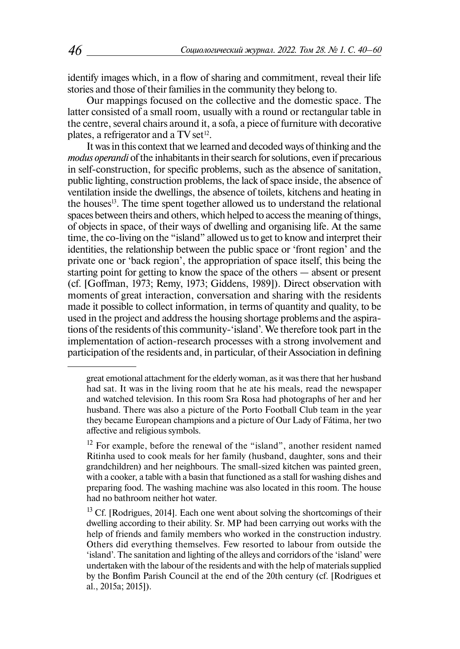identify images which, in a flow of sharing and commitment, reveal their life stories and those of their families in the community they belong to.

Our mappings focused on the collective and the domestic space. The latter consisted of a small room, usually with a round or rectangular table in the centre, several chairs around it, a sofa, a piece of furniture with decorative plates, a refrigerator and a TV set<sup>12</sup>.

It was in this context that we learned and decoded ways of thinking and the *modus operandi* of the inhabitants in their search for solutions, even if precarious in self-construction, for specific problems, such as the absence of sanitation, public lighting, construction problems, the lack of space inside, the absence of ventilation inside the dwellings, the absence of toilets, kitchens and heating in the houses13. The time spent together allowed us to understand the relational spaces between theirs and others, which helped to access the meaning of things, of objects in space, of their ways of dwelling and organising life. At the same time, the co-living on the "island" allowed us to get to know and interpret their identities, the relationship between the public space or 'front region' and the private one or 'back region', the appropriation of space itself, this being the starting point for getting to know the space of the others — absent or present (cf. [Goffman, 1973; Remy, 1973; Giddens, 1989]). Direct observation with moments of great interaction, conversation and sharing with the residents made it possible to collect information, in terms of quantity and quality, to be used in the project and address the housing shortage problems and the aspirations of the residents of this community-'island'. We therefore took part in the implementation of action-research processes with a strong involvement and participation of the residents and, in particular, of their Association in defining

great emotional attachment for the elderly woman, as it was there that her husband had sat. It was in the living room that he ate his meals, read the newspaper and watched television. In this room Sra Rosa had photographs of her and her husband. There was also a picture of the Porto Football Club team in the year they became European champions and a picture of Our Lady of Fátima, her two affective and religious symbols.

 $12$  For example, before the renewal of the "island", another resident named Ritinha used to cook meals for her family (husband, daughter, sons and their grandchildren) and her neighbours. The small-sized kitchen was painted green, with a cooker, a table with a basin that functioned as a stall for washing dishes and preparing food. The washing machine was also located in this room. The house had no bathroom neither hot water.

 $13$  Cf. [Rodrigues, 2014]. Each one went about solving the shortcomings of their dwelling according to their ability. Sr. MP had been carrying out works with the help of friends and family members who worked in the construction industry. Others did everything themselves. Few resorted to labour from outside the 'island'. The sanitation and lighting of the alleys and corridors of the 'island' were undertaken with the labour of the residents and with the help of materials supplied by the Bonfim Parish Council at the end of the 20th century (cf. [Rodrigues et al., 2015a; 2015]).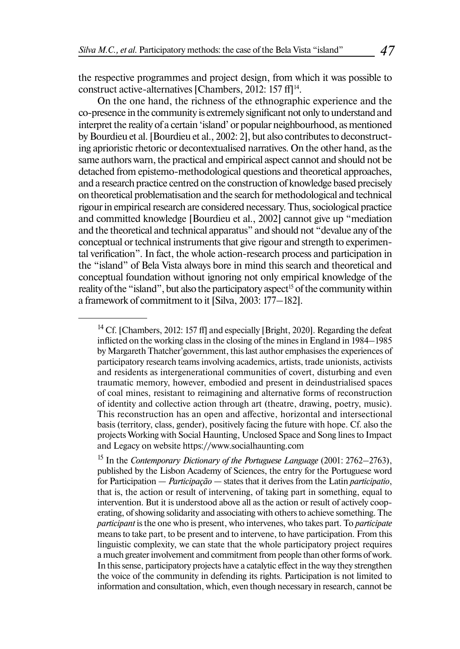the respective programmes and project design, from which it was possible to construct active-alternatives [Chambers, 2012: 157 ff]<sup>14</sup>.

On the one hand, the richness of the ethnographic experience and the co-presence in the community is extremely significant not only to understand and interpret the reality of a certain 'island' or popular neighbourhood, as mentioned by Bourdieu et al. [Bourdieu et al., 2002: 2], but also contributes to deconstructing aprioristic rhetoric or decontextualised narratives. On the other hand, as the same authors warn, the practical and empirical aspect cannot and should not be detached from epistemo-methodological questions and theoretical approaches, and a research practice centred on the construction of knowledge based precisely on theoretical problematisation and the search for methodological and technical rigour in empirical research are considered necessary. Thus, sociological practice and committed knowledge [Bourdieu et al., 2002] cannot give up "mediation and the theoretical and technical apparatus" and should not "devalue any of the conceptual or technical instruments that give rigour and strength to experimental verification". In fact, the whole action-research process and participation in the "island" of Bela Vista always bore in mind this search and theoretical and conceptual foundation without ignoring not only empirical knowledge of the reality of the "island", but also the participatory aspect<sup>15</sup> of the community within a framework of commitment to it [Silva, 2003: 177–182].

<sup>&</sup>lt;sup>14</sup> Cf. [Chambers, 2012: 157 ff] and especially [Bright, 2020]. Regarding the defeat inflicted on the working class in the closing of the mines in England in 1984–1985 by Margareth Thatcher'government, this last author emphasises the experiences of participatory research teams involving academics, artists, trade unionists, activists and residents as intergenerational communities of covert, disturbing and even traumatic memory, however, embodied and present in deindustrialised spaces of coal mines, resistant to reimagining and alternative forms of reconstruction of identity and collective action through art (theatre, drawing, poetry, music). This reconstruction has an open and affective, horizontal and intersectional basis (territory, class, gender), positively facing the future with hope. Cf. also the projects Working with Social Haunting, Unclosed Space and Song lines to Impact and Legacy on website [https://www.socialhaunting.com](https://www.socialhaunting.com/)

<sup>&</sup>lt;sup>15</sup> In the *Contemporary Dictionary of the Portuguese Language* (2001: 2762–2763), published by the Lisbon Academy of Sciences, the entry for the Portuguese word for Participation — *Participação —* states that it derives from the Latin *participatio*, that is, the action or result of intervening, of taking part in something, equal to intervention. But it is understood above all as the action or result of actively cooperating, of showing solidarity and associating with others to achieve something. The *participant* is the one who is present, who intervenes, who takes part. To *participate* means to take part, to be present and to intervene, to have participation. From this linguistic complexity, we can state that the whole participatory project requires a much greater involvement and commitment from people than other forms of work. In this sense, participatory projects have a catalytic effect in the way they strengthen the voice of the community in defending its rights. Participation is not limited to information and consultation, which, even though necessary in research, cannot be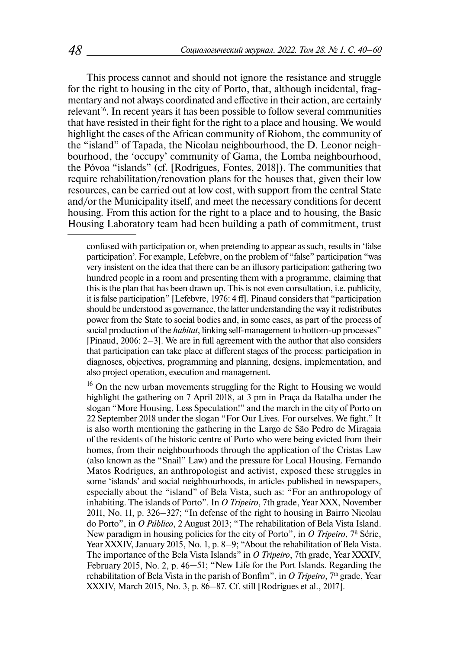This process cannot and should not ignore the resistance and struggle for the right to housing in the city of Porto, that, although incidental, fragmentary and not always coordinated and effective in their action, are certainly relevant<sup>16</sup>. In recent years it has been possible to follow several communities that have resisted in their fight for the right to a place and housing. We would highlight the cases of the African community of Riobom, the community of the "island" of Tapada, the Nicolau neighbourhood, the D. Leonor neighbourhood, the 'occupy' community of Gama, the Lomba neighbourhood, the Póvoa "islands" (cf. [Rodrigues, Fontes, 2018]). The communities that require rehabilitation/renovation plans for the houses that, given their low resources, can be carried out at low cost, with support from the central State and/or the Municipality itself, and meet the necessary conditions for decent housing. From this action for the right to a place and to housing, the Basic Housing Laboratory team had been building a path of commitment, trust

confused with participation or, when pretending to appear as such, results in 'false participation'. For example, Lefebvre, on the problem of "false" participation "was very insistent on the idea that there can be an illusory participation: gathering two hundred people in a room and presenting them with a programme, claiming that this is the plan that has been drawn up. This is not even consultation, i.e. publicity, it is false participation" [Lefebvre, 1976: 4 ff]. Pinaud considers that "participation should be understood as governance, the latter understanding the way it redistributes power from the State to social bodies and, in some cases, as part of the process of social production of the *habitat*, linking self-management to bottom-up processes" [Pinaud, 2006: 2–3]. We are in full agreement with the author that also considers that participation can take place at different stages of the process: participation in diagnoses, objectives, programming and planning, designs, implementation, and also project operation, execution and management.

<sup>&</sup>lt;sup>16</sup> On the new urban movements struggling for the Right to Housing we would highlight the gathering on 7 April 2018, at 3 pm in Praça da Batalha under the slogan "More Housing, Less Speculation!" and the march in the city of Porto on 22 September 2018 under the slogan "For Our Lives. For ourselves. We fight." It is also worth mentioning the gathering in the Largo de São Pedro de Miragaia of the residents of the historic centre of Porto who were being evicted from their homes, from their neighbourhoods through the application of the Cristas Law (also known as the "Snail" Law) and the pressure for Local Housing. Fernando Matos Rodrigues, an anthropologist and activist, exposed these struggles in some 'islands' and social neighbourhoods, in articles published in newspapers, especially about the "island" of Bela Vista, such as: "For an anthropology of inhabiting. The islands of Porto". In *O Tripeiro*, 7th grade, Year XXX, November 2011, No. 11, p. 326–327; "In defense of the right to housing in Bairro Nicolau do Porto", in *O Público*, 2 August 2013; "The rehabilitation of Bela Vista Island. New paradigm in housing policies for the city of Porto", in *O Tripeiro*, 7ª Série, Year XXXIV, January 2015, No. 1, p. 8–9; "About the rehabilitation of Bela Vista. The importance of the Bela Vista Islands" in *O Tripeiro*, 7th grade, Year XXXIV, February 2015, No. 2, p. 46–51; "New Life for the Port Islands. Regarding the rehabilitation of Bela Vista in the parish of Bonfim", in *O Tripeiro*, 7<sup>th</sup> grade, Year XXXIV, March 2015, No. 3, p. 86–87. Cf. still [Rodrigues et al., 2017].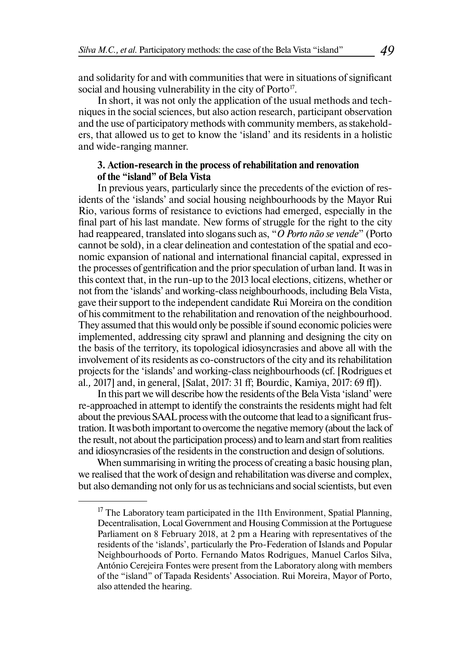and solidarity for and with communities that were in situations of significant social and housing vulnerability in the city of Porto<sup>17</sup>.

In short, it was not only the application of the usual methods and techniques in the social sciences, but also action research, participant observation and the use of participatory methods with community members, as stakeholders, that allowed us to get to know the 'island' and its residents in a holistic and wide-ranging manner.

## **3. Action-research in the process of rehabilitation and renovation of the "island" of Bela Vista**

In previous years, particularly since the precedents of the eviction of residents of the 'islands' and social housing neighbourhoods by the Mayor Rui Rio, various forms of resistance to evictions had emerged, especially in the final part of his last mandate. New forms of struggle for the right to the city had reappeared, translated into slogans such as, "*O Porto não se vende*" (Porto cannot be sold), in a clear delineation and contestation of the spatial and economic expansion of national and international financial capital, expressed in the processes of gentrification and the prior speculation of urban land. It was in this context that, in the run-up to the 2013 local elections, citizens, whether or not from the 'islands' and working-class neighbourhoods, including Bela Vista, gave their support to the independent candidate Rui Moreira on the condition of his commitment to the rehabilitation and renovation of the neighbourhood. They assumed that this would only be possible if sound economic policies were implemented, addressing city sprawl and planning and designing the city on the basis of the territory, its topological idiosyncrasies and above all with the involvement of its residents as co-constructors of the city and its rehabilitation projects for the 'islands' and working-class neighbourhoods (cf. [Rodrigues et al.*,* 2017] and, in general, [Salat, 2017: 31 ff; Bourdic, Kamiya, 2017: 69 ff]).

In this part we will describe how the residents of the Bela Vista 'island' were re-approached in attempt to identify the constraints the residents might had felt about the previous SAAL process with the outcome that lead to a significant frustration. It was both important to overcome the negative memory (about the lack of the result, not about the participation process) and to learn and start from realities and idiosyncrasies of the residents in the construction and design of solutions.

When summarising in writing the process of creating a basic housing plan, we realised that the work of design and rehabilitation was diverse and complex, but also demanding not only for us as technicians and social scientists, but even

 $17$  The Laboratory team participated in the 11th Environment, Spatial Planning, Decentralisation, Local Government and Housing Commission at the Portuguese Parliament on 8 February 2018, at 2 pm a Hearing with representatives of the residents of the 'islands', particularly the Pro-Federation of Islands and Popular Neighbourhoods of Porto. Fernando Matos Rodrigues, Manuel Carlos Silva, António Cerejeira Fontes were present from the Laboratory along with members of the "island" of Tapada Residents' Association. Rui Moreira, Mayor of Porto, also attended the hearing.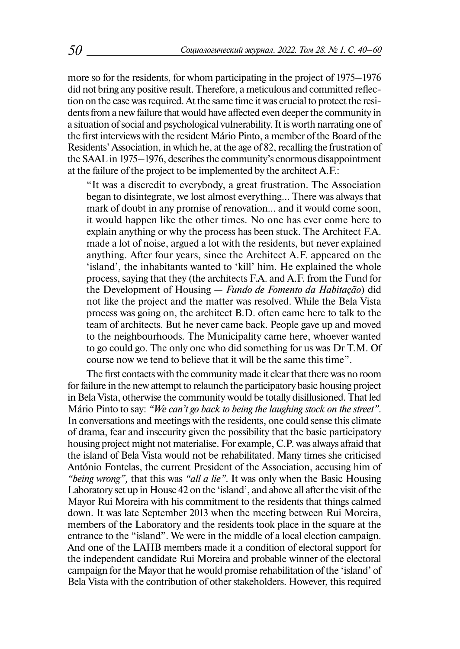more so for the residents, for whom participating in the project of 1975–1976 did not bring any positive result. Therefore, a meticulous and committed reflection on the case was required. At the same time it was crucial to protect the residents from a new failure that would have affected even deeper the community in a situation of social and psychological vulnerability. It is worth narrating one of the first interviews with the resident Mário Pinto, a member of the Board of the Residents' Association, in which he, at the age of 82, recalling the frustration of the SAAL in 1975–1976, describes the community's enormous disappointment at the failure of the project to be implemented by the architect A.F.:

"It was a discredit to everybody, a great frustration. The Association began to disintegrate, we lost almost everything... There was always that mark of doubt in any promise of renovation... and it would come soon, it would happen like the other times. No one has ever come here to explain anything or why the process has been stuck. The Architect F.A. made a lot of noise, argued a lot with the residents, but never explained anything. After four years, since the Architect A.F. appeared on the 'island', the inhabitants wanted to 'kill' him. He explained the whole process, saying that they (the architects F.A. and A.F. from the Fund for the Development of Housing — *Fundo de Fomento da Habitação*) did not like the project and the matter was resolved. While the Bela Vista process was going on, the architect B.D. often came here to talk to the team of architects. But he never came back. People gave up and moved to the neighbourhoods. The Municipality came here, whoever wanted to go could go. The only one who did something for us was Dr T.M. Of course now we tend to believe that it will be the same this time".

The first contacts with the community made it clear that there was no room for failure in the new attempt to relaunch the participatory basic housing project in Bela Vista, otherwise the community would be totally disillusioned. That led Mário Pinto to say: *"We can't go back to being the laughing stock on the street"*. In conversations and meetings with the residents, one could sense this climate of drama, fear and insecurity given the possibility that the basic participatory housing project might not materialise. For example, C.P. was always afraid that the island of Bela Vista would not be rehabilitated. Many times she criticised António Fontelas, the current President of the Association, accusing him of *"being wrong",* that this was *"all a lie"*. It was only when the Basic Housing Laboratory set up in House 42 on the 'island', and above all after the visit of the Mayor Rui Moreira with his commitment to the residents that things calmed down. It was late September 2013 when the meeting between Rui Moreira, members of the Laboratory and the residents took place in the square at the entrance to the "island". We were in the middle of a local election campaign. And one of the LAHB members made it a condition of electoral support for the independent candidate Rui Moreira and probable winner of the electoral campaign for the Mayor that he would promise rehabilitation of the 'island' of Bela Vista with the contribution of other stakeholders. However, this required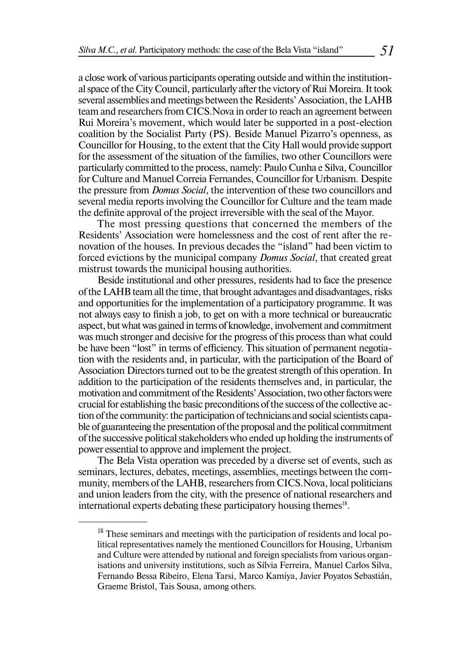a close work of various participants operating outside and within the institutional space of the City Council, particularly after the victory of Rui Moreira. It took several assemblies and meetings between the Residents' Association, the LAHB team and researchers from CICS.Nova in order to reach an agreement between Rui Moreira's movement, which would later be supported in a post-election coalition by the Socialist Party (PS). Beside Manuel Pizarro's openness, as Councillor for Housing, to the extent that the City Hall would provide support for the assessment of the situation of the families, two other Councillors were particularly committed to the process, namely: Paulo Cunha e Silva, Councillor for Culture and Manuel Correia Fernandes, Councillor for Urbanism. Despite the pressure from *Domus Social*, the intervention of these two councillors and several media reports involving the Councillor for Culture and the team made the definite approval of the project irreversible with the seal of the Mayor.

The most pressing questions that concerned the members of the Residents' Association were homelessness and the cost of rent after the renovation of the houses. In previous decades the "island" had been victim to forced evictions by the municipal company *Domus Social*, that created great mistrust towards the municipal housing authorities.

Beside institutional and other pressures, residents had to face the presence of the LAHB team all the time, that brought advantages and disadvantages, risks and opportunities for the implementation of a participatory programme. It was not always easy to finish a job, to get on with a more technical or bureaucratic aspect, but what was gained in terms of knowledge, involvement and commitment was much stronger and decisive for the progress of this process than what could be have been "lost" in terms of efficiency. This situation of permanent negotiation with the residents and, in particular, with the participation of the Board of Association Directors turned out to be the greatest strength of this operation. In addition to the participation of the residents themselves and, in particular, the motivation and commitment of the Residents' Association, two other factors were crucial for establishing the basic preconditions of the success of the collective action of the community: the participation of technicians and social scientists capable of guaranteeing the presentation of the proposal and the political commitment of the successive political stakeholders who ended up holding the instruments of power essential to approve and implement the project.

The Bela Vista operation was preceded by a diverse set of events, such as seminars, lectures, debates, meetings, assemblies, meetings between the community, members of the LAHB, researchers from CICS.Nova, local politicians and union leaders from the city, with the presence of national researchers and international experts debating these participatory housing themes<sup>18</sup>.

 $18$  These seminars and meetings with the participation of residents and local political representatives namely the mentioned Councillors for Housing, Urbanism and Culture were attended by national and foreign specialists from various organisations and university institutions, such as Sílvia Ferreira, Manuel Carlos Silva, Fernando Bessa Ribeiro, Elena Tarsi, Marco Kamiya, Javier Poyatos Sebastián, Graeme Bristol, Tais Sousa, among others.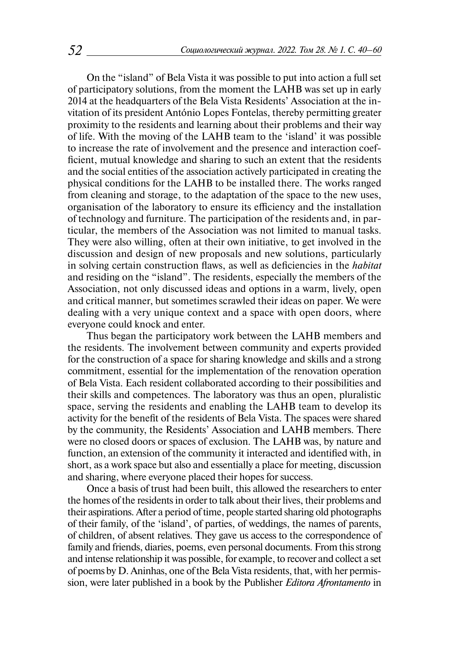On the "island" of Bela Vista it was possible to put into action a full set of participatory solutions, from the moment the LAHB was set up in early 2014 at the headquarters of the Bela Vista Residents' Association at the invitation of its president António Lopes Fontelas, thereby permitting greater proximity to the residents and learning about their problems and their way of life. With the moving of the LAHB team to the 'island' it was possible to increase the rate of involvement and the presence and interaction coefficient, mutual knowledge and sharing to such an extent that the residents and the social entities of the association actively participated in creating the physical conditions for the LAHB to be installed there. The works ranged from cleaning and storage, to the adaptation of the space to the new uses, organisation of the laboratory to ensure its efficiency and the installation of technology and furniture. The participation of the residents and, in particular, the members of the Association was not limited to manual tasks. They were also willing, often at their own initiative, to get involved in the discussion and design of new proposals and new solutions, particularly in solving certain construction flaws, as well as deficiencies in the *habitat*  and residing on the "island". The residents, especially the members of the Association, not only discussed ideas and options in a warm, lively, open and critical manner, but sometimes scrawled their ideas on paper. We were dealing with a very unique context and a space with open doors, where everyone could knock and enter.

Thus began the participatory work between the LAHB members and the residents. The involvement between community and experts provided for the construction of a space for sharing knowledge and skills and a strong commitment, essential for the implementation of the renovation operation of Bela Vista. Each resident collaborated according to their possibilities and their skills and competences. The laboratory was thus an open, pluralistic space, serving the residents and enabling the LAHB team to develop its activity for the benefit of the residents of Bela Vista. The spaces were shared by the community, the Residents' Association and LAHB members. There were no closed doors or spaces of exclusion. The LAHB was, by nature and function, an extension of the community it interacted and identified with, in short, as a work space but also and essentially a place for meeting, discussion and sharing, where everyone placed their hopes for success.

Once a basis of trust had been built, this allowed the researchers to enter the homes of the residents in order to talk about their lives, their problems and their aspirations. After a period of time, people started sharing old photographs of their family, of the 'island', of parties, of weddings, the names of parents, of children, of absent relatives. They gave us access to the correspondence of family and friends, diaries, poems, even personal documents. From this strong and intense relationship it was possible, for example, to recover and collect a set of poems by D. Aninhas, one of the Bela Vista residents, that, with her permission, were later published in a book by the Publisher *Editora Afrontamento* in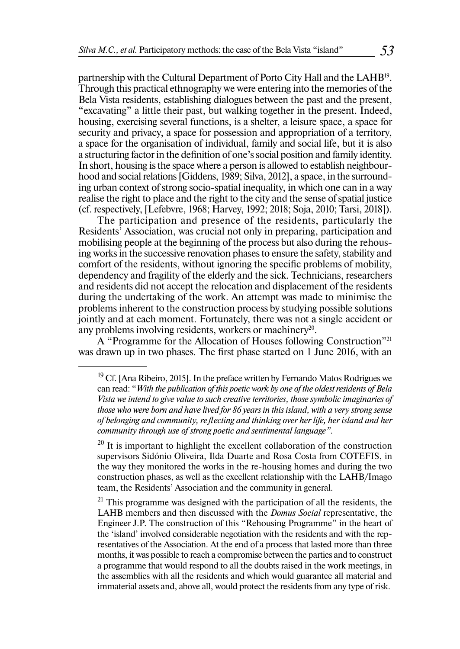partnership with the Cultural Department of Porto City Hall and the LAHB19. Through this practical ethnography we were entering into the memories of the Bela Vista residents, establishing dialogues between the past and the present, "excavating" a little their past, but walking together in the present. Indeed, housing, exercising several functions, is a shelter, a leisure space, a space for security and privacy, a space for possession and appropriation of a territory, a space for the organisation of individual, family and social life, but it is also a structuring factor in the definition of one's social position and family identity. In short, housing is the space where a person is allowed to establish neighbourhood and social relations [Giddens, 1989; Silva, 2012], a space, in the surrounding urban context of strong socio-spatial inequality, in which one can in a way realise the right to place and the right to the city and the sense of spatial justice (cf. respectively, [Lefebvre, 1968; Harvey, 1992; 2018; Soja, 2010; Tarsi, 2018]).

The participation and presence of the residents, particularly the Residents' Association, was crucial not only in preparing, participation and mobilising people at the beginning of the process but also during the rehousing works in the successive renovation phases to ensure the safety, stability and comfort of the residents, without ignoring the specific problems of mobility, dependency and fragility of the elderly and the sick. Technicians, researchers and residents did not accept the relocation and displacement of the residents during the undertaking of the work. An attempt was made to minimise the problems inherent to the construction process by studying possible solutions jointly and at each moment. Fortunately, there was not a single accident or any problems involving residents, workers or machinery<sup>20</sup>.

A "Programme for the Allocation of Houses following Construction"21 was drawn up in two phases. The first phase started on 1 June 2016, with an

 $19$  Cf. [Ana Ribeiro, 2015]. In the preface written by Fernando Matos Rodrigues we can read: "*With the publication of this poetic work by one of the oldest residents of Bela Vista we intend to give value to such creative territories, those symbolic imaginaries of those who were born and have lived for 86 years in this island, with a very strong sense of belonging and community, reflecting and thinking over her life, her island and her community through use of strong poetic and sentimental language"*.

 $^{20}$  It is important to highlight the excellent collaboration of the construction supervisors Sidónio Oliveira, Ilda Duarte and Rosa Costa from COTEFIS, in the way they monitored the works in the re-housing homes and during the two construction phases, as well as the excellent relationship with the LAHB/Imago team, the Residents' Association and the community in general.

 $21$  This programme was designed with the participation of all the residents, the LAHB members and then discussed with the *Domus Social* representative, the Engineer J.P. The construction of this "Rehousing Programme" in the heart of the 'island' involved considerable negotiation with the residents and with the representatives of the Association. At the end of a process that lasted more than three months, it was possible to reach a compromise between the parties and to construct a programme that would respond to all the doubts raised in the work meetings, in the assemblies with all the residents and which would guarantee all material and immaterial assets and, above all, would protect the residents from any type of risk.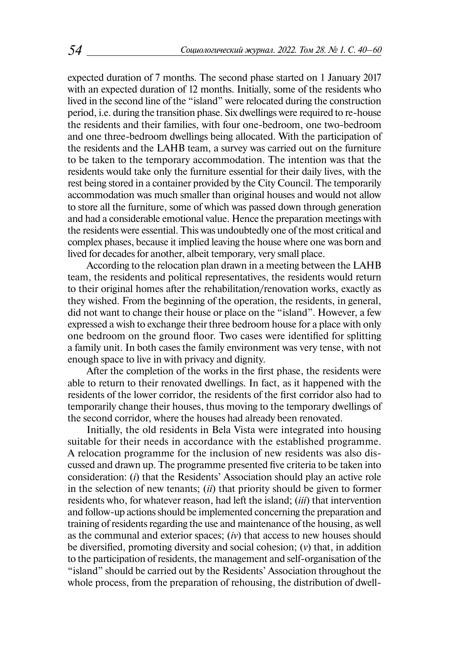expected duration of 7 months. The second phase started on 1 January 2017 with an expected duration of 12 months. Initially, some of the residents who lived in the second line of the "island" were relocated during the construction period, i.e. during the transition phase. Six dwellings were required to re-house the residents and their families, with four one-bedroom, one two-bedroom and one three-bedroom dwellings being allocated. With the participation of the residents and the LAHB team, a survey was carried out on the furniture to be taken to the temporary accommodation. The intention was that the residents would take only the furniture essential for their daily lives, with the rest being stored in a container provided by the City Council. The temporarily accommodation was much smaller than original houses and would not allow to store all the furniture, some of which was passed down through generation and had a considerable emotional value. Hence the preparation meetings with the residents were essential. This was undoubtedly one of the most critical and complex phases, because it implied leaving the house where one was born and lived for decades for another, albeit temporary, very small place.

According to the relocation plan drawn in a meeting between the LAHB team, the residents and political representatives, the residents would return to their original homes after the rehabilitation/renovation works, exactly as they wished. From the beginning of the operation, the residents, in general, did not want to change their house or place on the "island". However, a few expressed a wish to exchange their three bedroom house for a place with only one bedroom on the ground floor. Two cases were identified for splitting a family unit. In both cases the family environment was very tense, with not enough space to live in with privacy and dignity.

After the completion of the works in the first phase, the residents were able to return to their renovated dwellings. In fact, as it happened with the residents of the lower corridor, the residents of the first corridor also had to temporarily change their houses, thus moving to the temporary dwellings of the second corridor, where the houses had already been renovated.

Initially, the old residents in Bela Vista were integrated into housing suitable for their needs in accordance with the established programme. A relocation programme for the inclusion of new residents was also discussed and drawn up. The programme presented five criteria to be taken into consideration: (*i*) that the Residents' Association should play an active role in the selection of new tenants; (*ii*) that priority should be given to former residents who, for whatever reason, had left the island; (*iii*) that intervention and follow-up actions should be implemented concerning the preparation and training of residents regarding the use and maintenance of the housing, as well as the communal and exterior spaces; (*iv*) that access to new houses should be diversified, promoting diversity and social cohesion; (*v*) that, in addition to the participation of residents, the management and self-organisation of the "island" should be carried out by the Residents' Association throughout the whole process, from the preparation of rehousing, the distribution of dwell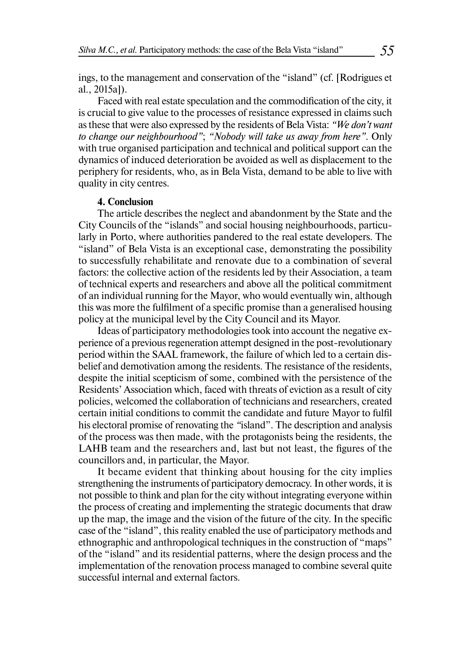ings, to the management and conservation of the "island" (cf. [Rodrigues et al., 2015a]).

Faced with real estate speculation and the commodification of the city, it is crucial to give value to the processes of resistance expressed in claims such as these that were also expressed by the residents of Bela Vista: *"We don't want to change our neighbourhood"*; *"Nobody will take us away from here"*. Only with true organised participation and technical and political support can the dynamics of induced deterioration be avoided as well as displacement to the periphery for residents, who, as in Bela Vista, demand to be able to live with quality in city centres.

#### **4. Conclusion**

The article describes the neglect and abandonment by the State and the City Councils of the "islands" and social housing neighbourhoods, particularly in Porto, where authorities pandered to the real estate developers. The "island" of Bela Vista is an exceptional case, demonstrating the possibility to successfully rehabilitate and renovate due to a combination of several factors: the collective action of the residents led by their Association, a team of technical experts and researchers and above all the political commitment of an individual running for the Mayor, who would eventually win, although this was more the fulfilment of a specific promise than a generalised housing policy at the municipal level by the City Council and its Mayor.

Ideas of participatory methodologies took into account the negative experience of a previous regeneration attempt designed in the post-revolutionary period within the SAAL framework, the failure of which led to a certain disbelief and demotivation among the residents. The resistance of the residents, despite the initial scepticism of some, combined with the persistence of the Residents' Association which, faced with threats of eviction as a result of city policies, welcomed the collaboration of technicians and researchers, created certain initial conditions to commit the candidate and future Mayor to fulfil his electoral promise of renovating the *"*island". The description and analysis of the process was then made, with the protagonists being the residents, the LAHB team and the researchers and, last but not least, the figures of the councillors and, in particular, the Mayor.

It became evident that thinking about housing for the city implies strengthening the instruments of participatory democracy. In other words, it is not possible to think and plan for the city without integrating everyone within the process of creating and implementing the strategic documents that draw up the map, the image and the vision of the future of the city. In the specific case of the "island", this reality enabled the use of participatory methods and ethnographic and anthropological techniques in the construction of "maps" of the "island" and its residential patterns, where the design process and the implementation of the renovation process managed to combine several quite successful internal and external factors.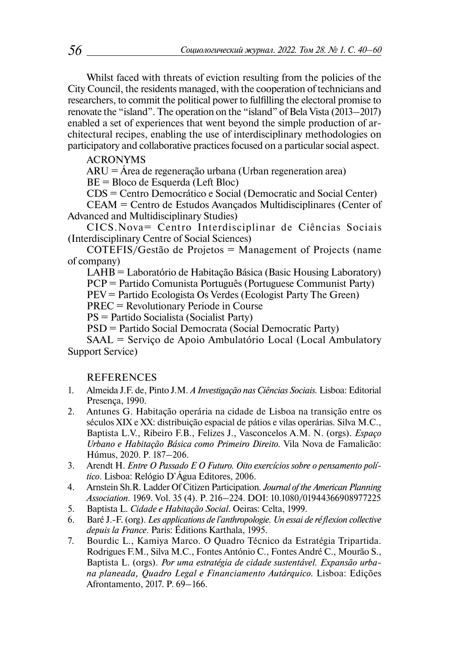Whilst faced with threats of eviction resulting from the policies of the City Council, the residents managed, with the cooperation of technicians and researchers, to commit the political power to fulfilling the electoral promise to renovate the "island". The operation on the "island" of Bela Vista (2013–2017) enabled a set of experiences that went beyond the simple production of architectural recipes, enabling the use of interdisciplinary methodologies on participatory and collaborative practices focused on a particular social aspect.

ACRONYMS

ARU = Área de regeneração urbana (Urban regeneration area)

BE = Bloco de Esquerda (Left Bloc)

CDS = Centro Democrático e Social (Democratic and Social Center)

CEAM = Centro de Estudos Avançados Multidisciplinares (Center of Advanced and Multidisciplinary Studies)

CICS.Nova= Centro Interdisciplinar de Ciências Sociais (Interdisciplinary Centre of Social Sciences)

COTEFIS/Gestão de Projetos = Management of Projects (name of company)

LAHB = Laboratório de Habitação Básica (Basic Housing Laboratory)

PCP = Partido Comunista Português (Portuguese Communist Party)

PEV = Partido Ecologista Os Verdes (Ecologist Party The Green)

PREC = Revolutionary Periode in Course

PS = Partido Socialista (Socialist Party)

PSD = Partido Social Democrata (Social Democratic Party)

SAAL = Serviço de Apoio Ambulatório Local (Local Ambulatory Support Service)

## REFERENCES

- 1. Almeida J.F. de, Pinto J.M. *A Investigação nas Ciências Sociais.* Lisboa: Editorial Presença, 1990.
- 2. Antunes G. Habitação operária na cidade de Lisboa na transição entre os séculos XIX e XX: distribuição espacial de pátios e vilas operárias. Silva M.C., Baptista L.V., Ribeiro F.B., Felizes J., Vasconcelos A.M. N. (orgs). *Espaço Urbano e Habitação Básica como Primeiro Direito.* Vila Nova de Famalicão: Húmus, 2020. P. 187–206.
- 3. Arendt H. *Entre O Passado E O Futuro. Oito exercícios sobre o pensamento político*. Lisboa: Relógio D`Água Editores, 2006.
- 4. Arnstein Sh.R. Ladder Of Citizen Participation*. Journal of the American Planning Association.* 1969. Vol. 35 (4). P. 216–224. DOI: 10.1080/01944366908977225
- 5. Baptista L. *Cidade e Habitação Social*. Oeiras: Celta, 1999.
- 6. Baré J.-F. (org). *Les applications de l`anthropologie. Un essai de réflexion collective depuis la France*. Paris: Éditions Karthala, 1995.
- 7. Bourdic L., Kamiya Marco. O Quadro Técnico da Estratégia Tripartida. Rodrigues F.M., Silva M.C., Fontes António C., Fontes André C., Mourão S., Baptista L. (orgs). *Por uma estratégia de cidade sustentável. Expansão urbana planeada, Quadro Legal e Financiamento Autárquico.* Lisboa: Edições Afrontamento, 2017. P. 69–166.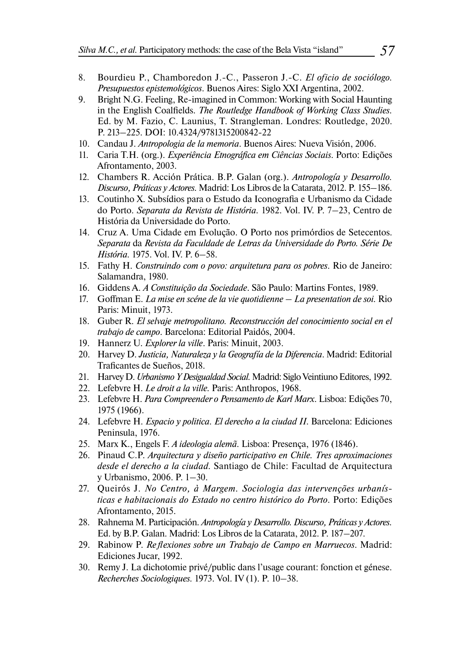- 8. Bourdieu P., Chamboredon J.-C., Passeron J.-C. *El oficio de sociólogo. Presupuestos epistemológicos*. Buenos Aires: Siglo XXI Argentina, 2002.
- 9. Bright N.G. Feeling, Re-imagined in Common: Working with Social Haunting in the English Coalfields. *[The Routledge Handbook of Working Class Studies](https://www.routledge.com/Routledge-International-Handbook-of-Working-Class-Studies/Fazio-Launius-Strangleman/p/book/9781138709829).* Ed. by M. Fazio, C. Launius, T. Strangleman. Londres: Routledge, 2020. P. 213–225. DOI: 10.4324/9781315200842-22
- 10. Candau J. *Antropologia de la memoria*. Buenos Aires: Nueva Visión, 2006.
- 11. Caria T.H. (org.). *Experiência Etnográfica em Ciências Sociais*. Porto: Edições Afrontamento, 2003.
- 12. Chambers R. Acción Prática. B.P. Galan (org.). *Antropología y Desarrollo. Discurso, Práticas y Actores.* Madrid: Los Libros de la Catarata, 2012. P. 155–186.
- 13. Coutinho X. Subsídios para o Estudo da Iconografia e Urbanismo da Cidade do Porto. *Separata da Revista de História.* 1982. Vol. IV. P. 7–23, Centro de História da Universidade do Porto.
- 14. Cruz A. Uma Cidade em Evolução. O Porto nos primórdios de Setecentos. *Separata* da *Revista da Faculdade de Letras da Universidade do Porto. Série De História.* 1975. Vol. IV. P. 6–58.
- 15. Fathy H. *Construindo com o povo: arquitetura para os pobres*. Rio de Janeiro: Salamandra, 1980.
- 16. Giddens A. *A Constituição da Sociedade*. São Paulo: Martins Fontes, 1989.
- 17. Goffman E. *La mise en scéne de la vie quotidienne La presentation de soi.* Rio Paris: Minuit, 1973.
- 18. Guber R. *El selvaje metropolitano. Reconstrucción del conocimiento social en el trabajo de campo*. Barcelona: Editorial Paidós, 2004.
- 19. Hannerz U. *Explorer la ville*. Paris: Minuit, 2003.
- 20. Harvey D. *Justicia, Naturaleza y la Geografía de la Diferencia*. Madrid: Editorial Traficantes de Sueños, 2018.
- 21. Harvey D. *Urbanismo Y Desigualdad Social.* Madrid: Siglo Veintiuno Editores, 1992.
- 22. Lefebvre H. *Le droit a la ville.* Paris: Anthropos, 1968.
- 23. Lefebvre H. *Para Compreender o Pensamento de Karl Marx*. Lisboa: Edições 70, 1975 (1966).
- 24. Lefebvre H. *Espacio y politica. El derecho a la ciudad II*. Barcelona: Ediciones Peninsula, 1976.
- 25. Marx K., Engels F. *A ideologia alemã.* Lisboa: Presença, 1976 (1846).
- 26. Pinaud C.P. *Arquitectura y diseño participativo en Chile. Tres aproximaciones desde el derecho a la ciudad.* Santiago de Chile: Facultad de Arquitectura y Urbanismo, 2006. P. 1–30.
- 27. Queirós J. *No Centro, à Margem. Sociologia das intervenções urbanísticas e habitacionais do Estado no centro histórico do Porto*. Porto: Edições Afrontamento, 2015.
- 28. Rahnema M. Participación. *Antropología y Desarrollo. Discurso, Práticas y Actores.*  Ed. by B.P. Galan. Madrid: Los Libros de la Catarata, 2012. P. 187–207.
- 29. Rabinow P. *Reflexiones sobre un Trabajo de Campo en Marruecos*. Madrid: Ediciones Jucar, 1992.
- 30. Remy J. La dichotomie privé/public dans l'usage courant: fonction et génese. *Recherches Sociologiques.* 1973. Vol. IV (1). P. 10–38.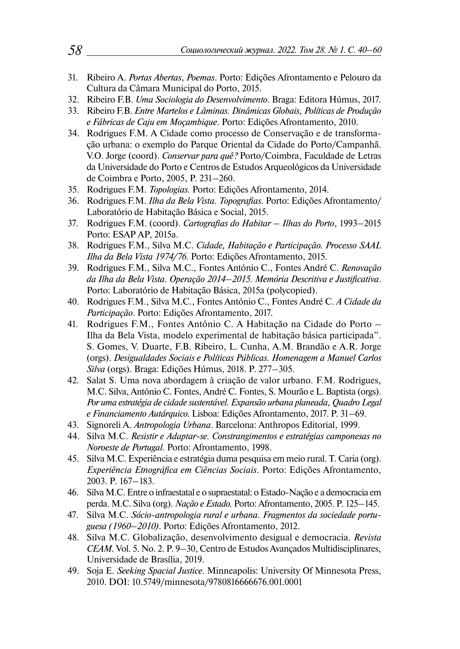- 31. Ribeiro A. *Portas Abertas*, *Poemas*. Porto: Edições Afrontamento e Pelouro da Cultura da Câmara Municipal do Porto, 2015.
- 32. Ribeiro F.B. *Uma Sociologia do Desenvolvimento*. Braga: Editora Húmus, 2017.
- 33. Ribeiro F.B. *Entre Martelos e Lâminas. Dinâmicas Globais, Políticas de Produção e Fábricas de Caju em Moçambique*. Porto: Edições Afrontamento, 2010.
- 34. Rodrigues F.M. A Cidade como processo de Conservação e de transformação urbana: o exemplo do Parque Oriental da Cidade do Porto/Campanhã. V.O. Jorge (coord). *Conservar para quê?* Porto/Coimbra, Faculdade de Letras da Universidade do Porto e Centros de Estudos Arqueológicos da Universidade de Coimbra e Porto, 2005, P. 231–260.
- 35. Rodrigues F.M. *Topologias.* Porto: Edições Afrontamento, 2014.
- 36. Rodrigues F.M. *Ilha da Bela Vista. Topografias.* Porto: Edições Afrontamento/ Laboratório de Habitação Básica e Social, 2015.
- 37. Rodrigues F.M. (coord). *Cartografias do Habitar Ilhas do Porto*, 1993–2015 Porto: ESAP AP, 2015a.
- 38. Rodrigues F.M., Silva M.C. *Cidade, Habitação e Participação. Processo SAAL Ilha da Bela Vista 1974/76.* Porto: Edições Afrontamento, 2015.
- 39. Rodrigues F.M., Silva M.C., Fontes António C., Fontes André C. *Renovação da Ilha da Bela Vista. Operação 2014*–*2015. Memória Descritiva e Justificativa*. Porto: Laboratório de Habitação Básica, 2015a (polycopied).
- 40. Rodrigues F.M., Silva M.C., Fontes António C., Fontes André C. *A Cidade da Participação*. Porto: Edições Afrontamento, 2017.
- 41. Rodrigues F.M., Fontes António C. A Habitação na Cidade do Porto Ilha da Bela Vista, modelo experimental de habitação básica participada". S. Gomes, V. Duarte, F.B. Ribeiro, L. Cunha, A.M. Brandão e A.R. Jorge (orgs). *Desigualdades Sociais e Políticas Públicas. Homenagem a Manuel Carlos Silva* (orgs). Braga: Edições Húmus, 2018. P. 277–305.
- 42. Salat S. Uma nova abordagem à criação de valor urbano. F.M. Rodrigues, M.C. Silva, António C. Fontes, André C. Fontes, S. Mourão e L. Baptista (orgs). *Por uma estratégia de cidade sustentável. Expansão urbana planeada, Quadro Legal e Financiamento Autárquico.* Lisboa: Edições Afrontamento, 2017. P. 31–69.
- 43. Signoreli A. *Antropologia Urbana*. Barcelona: Anthropos Editorial, 1999.
- 44. Silva M.C. *Resistir e Adaptar-se. Constrangimentos e estratégias camponesas no Noroeste de Portugal.* Porto: Afrontamento, 1998.
- 45. Silva M.C. Experiência e estratégia duma pesquisa em meio rural. T. Caria (org). *Experiência Etnográfica em Ciências Sociais*. Porto: Edições Afrontamento, 2003. P. 167–183.
- 46. Silva M.C. Entre o infraestatal e o supraestatal: o Estado-Nação e a democracia em perda. M.C. Silva (org). *Nação e Estado.* Porto: Afrontamento, 2005. P. 125–145.
- 47. Silva M.C. *Sócio-antropologia rural e urbana. Fragmentos da sociedade portuguesa (1960*–*2010)*. Porto: Edições Afrontamento, 2012.
- 48. Silva M.C. Globalização, desenvolvimento desigual e democracia. *Revista CEAM.* Vol. 5. No. 2. P. 9–30, Centro de Estudos Avançados Multidisciplinares, Universidade de Brasília, 2019.
- 49. Soja E. *Seeking Spacial Justice.* Minneapolis: University Of Minnesota Press, 2010. DOI: 10.5749/minnesota/9780816666676.001.0001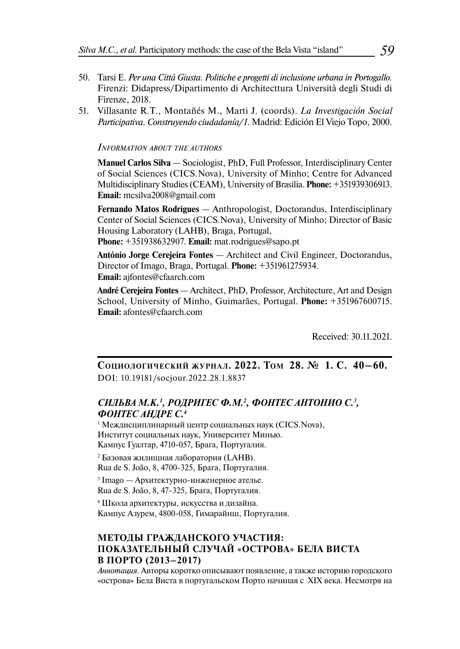- 50. Tarsi E. *Per una Città Giusta. Politiche e progetti di inclusione urbana in Portogallo.* Firenzi: Didapress/Dipartimento di Architecttura Università degli Studi di Firenze, 2018.
- 51. Villasante R.T., Montañés M., Marti J. (coords). *La Investigación Social Participativa. Construyendo ciudadanía/1*. Madrid: Edición El Viejo Topo, 2000.

#### *Information about the authors*

**Manuel Carlos Silva** — Sociologist, PhD, Full Professor, Interdisciplinary Center of Social Sciences (CICS.Nova), University of Minho; Centre for Advanced Multidisciplinary Studies (CEAM), University of Brasilia. **Phone:** +351939306913. **Email:** [mcsilva2008@gmail.com](mailto:mcsilva2008@gmail.com%2520) 

**Fernando Matos Rodrigues** — Anthropologist, Doctorandus, Interdisciplinary Center of Social Sciences (CICS.Nova), University of Minho; Director of Basic Housing Laboratory (LAHB), Braga, Portugal,

**Phone:** +351938632907. **Email:** [mat.rodrigues@sapo.pt](mailto:mat.rodrigues@sapo.pt)

**António Jorge Cerejeira Fontes** — Architect and Civil Engineer, Doctorandus, Director of Imago, Braga, Portugal. **Phone:** +351961275934. **Email:** ajfontes@cfaarch.com

**André Cerejeira Fontes** — Architect, PhD, Professor, Architecture, Art and Design School, University of Minho, Guimarães, Portugal. **Phone:** +351967600715. **Email:** afontes@cfaarch.com

Received: 30.11.2021.

**СоциологичеСкий журна л. 2022. Том 28. № 1. С. 40–60.**  DOI: 10.19181/socjour.2022.28.1.8837

#### *СИЛЬВА М.К.1 , РОДРИГЕС Ф.М.2 , ФОНТЕС АНТОНИО С.3 , ФОНТЕС АНДРЕ С.4*

 $^{\rm 1}$  Междисциплинарный центр социальных наук (CICS.Nova), Институт социальных наук, Университет Минью. Кампус Гуалтар, 4710-057, Брага, Португалия.

2 Базовая жилищная лаборатория (LAHB). Rua de S. João, 8, 4700-325, Брага, Португалия.

3 Imago — Архитектурно-инженерное ателье. Rua de S. João, 8, 47-325, Брага, Португалия.

4 Школа архитектуры, искусства и дизайна. Кампус Азурем, 4800-058, Гимарайнш, Португалия.

#### **МЕТОДЫ ГРАЖ ДАН СКОГО УЧА СТИЯ: ПОКА ЗАТЕЛ ЬНЫЙ СЛУЧАЙ «ОСТРО ВА» БЕЛА ВИСТА В ПОРТО** (2013–2017)

*Аннотация.* Авторы коротко описывают появление, а также историю городского «острова» Бела Виста в португальском Порто начиная с XIX века. Несмотря на